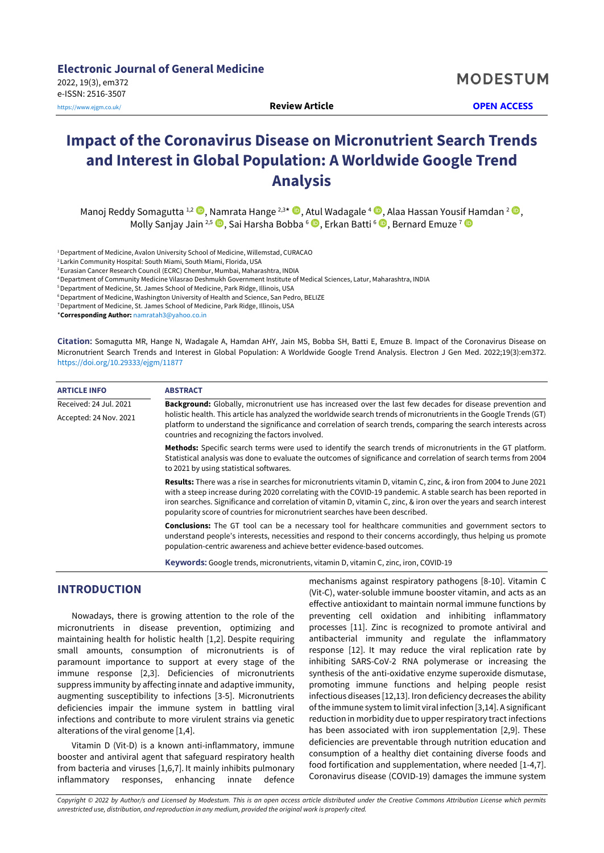**Electronic Journal of General Medicine** 2022, 19(3), em372 e-ISSN: 2516-3507 <https://www.ejgm.co.uk/> **Review Article OPEN ACCESS**

**MODESTUM** 

# **Impact of the Coronavirus Disease on Micronutrient Search Trends and Interest in Global Population: A Worldwide Google Trend Analysis**

Manoj Reddy Somagutta 1,2 , Namrata Hange 2,3 \* , Atul Wadagale <sup>4</sup> , Alaa Hassan Yousif Hamdan <sup>2</sup> , Molly Sanjay Jain <sup>2,5</sup> ◉, Sai Harsha Bobba <sup>6</sup> ື, Erkan Batti <sup>6 </sup>ិ, Bernard Emuze <sup>7</sup>

<sup>1</sup> Department of Medicine, Avalon University School of Medicine, Willemstad, CURACAO

<sup>2</sup> Larkin Community Hospital: South Miami, South Miami, Florida, USA

<sup>3</sup>Eurasian Cancer Research Council (ECRC) Chembur, Mumbai, Maharashtra, INDIA <sup>4</sup>Department of Community Medicine Vilasrao Deshmukh Government Institute of Medical Sciences, Latur, Maharashtra, INDIA

<sup>5</sup>Department of Medicine, St. James School of Medicine, Park Ridge, Illinois, USA

<sup>6</sup> Department of Medicine, Washington University of Health and Science, San Pedro, BELIZE <sup>7</sup>Department of Medicine, St. James School of Medicine, Park Ridge, Illinois, USA

\***Corresponding Author:** [namratah3@yahoo.co.in](mailto:namratah3@yahoo.co.in)

**Citation:** Somagutta MR, Hange N, Wadagale A, Hamdan AHY, Jain MS, Bobba SH, Batti E, Emuze B. Impact of the Coronavirus Disease on Micronutrient Search Trends and Interest in Global Population: A Worldwide Google Trend Analysis. Electron J Gen Med. 2022;19(3):em372. <https://doi.org/10.29333/ejgm/11877>

| <b>ARTICLE INFO</b>    | <b>ABSTRACT</b>                                                                                                                                                                                                                                                                                                                                                                                                                                      |  |  |  |
|------------------------|------------------------------------------------------------------------------------------------------------------------------------------------------------------------------------------------------------------------------------------------------------------------------------------------------------------------------------------------------------------------------------------------------------------------------------------------------|--|--|--|
| Received: 24 Jul. 2021 | <b>Background:</b> Globally, micronutrient use has increased over the last few decades for disease prevention and                                                                                                                                                                                                                                                                                                                                    |  |  |  |
| Accepted: 24 Nov. 2021 | holistic health. This article has analyzed the worldwide search trends of micronutrients in the Google Trends (GT)<br>platform to understand the significance and correlation of search trends, comparing the search interests across<br>countries and recognizing the factors involved.                                                                                                                                                             |  |  |  |
|                        | Methods: Specific search terms were used to identify the search trends of micronutrients in the GT platform.<br>Statistical analysis was done to evaluate the outcomes of significance and correlation of search terms from 2004<br>to 2021 by using statistical softwares.                                                                                                                                                                          |  |  |  |
|                        | <b>Results:</b> There was a rise in searches for micronutrients vitamin D, vitamin C, zinc, & iron from 2004 to June 2021<br>with a steep increase during 2020 correlating with the COVID-19 pandemic. A stable search has been reported in<br>iron searches. Significance and correlation of vitamin D, vitamin C, zinc, & iron over the years and search interest<br>popularity score of countries for micronutrient searches have been described. |  |  |  |
|                        | <b>Conclusions:</b> The GT tool can be a necessary tool for healthcare communities and government sectors to<br>understand people's interests, necessities and respond to their concerns accordingly, thus helping us promote<br>population-centric awareness and achieve better evidence-based outcomes.                                                                                                                                            |  |  |  |
|                        | Kawwords: Coogle trends micronutriants vitamin D vitamin C zins iron COVID-19                                                                                                                                                                                                                                                                                                                                                                        |  |  |  |

**Keywords:** Google trends, micronutrients, vitamin D, vitamin C, zinc, iron, COVID-19

# **INTRODUCTION**

Nowadays, there is growing attention to the role of the micronutrients in disease prevention, optimizing and maintaining health for holistic health [1,2]. Despite requiring small amounts, consumption of micronutrients is of paramount importance to support at every stage of the immune response [2,3]. Deficiencies of micronutrients suppress immunity by affecting innate and adaptive immunity, augmenting susceptibility to infections [3-5]. Micronutrients deficiencies impair the immune system in battling viral infections and contribute to more virulent strains via genetic alterations of the viral genome [1,4].

Vitamin D (Vit-D) is a known anti-inflammatory, immune booster and antiviral agent that safeguard respiratory health from bacteria and viruses [1,6,7]. It mainly inhibits pulmonary inflammatory responses, enhancing innate defence mechanisms against respiratory pathogens [8-10]. Vitamin C (Vit-C), water-soluble immune booster vitamin, and acts as an effective antioxidant to maintain normal immune functions by preventing cell oxidation and inhibiting inflammatory processes [11]. Zinc is recognized to promote antiviral and antibacterial immunity and regulate the inflammatory response [12]. It may reduce the viral replication rate by inhibiting SARS-CoV-2 RNA polymerase or increasing the synthesis of the anti-oxidative enzyme superoxide dismutase, promoting immune functions and helping people resist infectious diseases [12,13]. Iron deficiency decreases the ability ofthe immune system to limit viral infection [3,14]. A significant reduction in morbidity due to upperrespiratory tract infections has been associated with iron supplementation [2,9]. These deficiencies are preventable through nutrition education and consumption of a healthy diet containing diverse foods and food fortification and supplementation, where needed [1-4,7]. Coronavirus disease (COVID-19) damages the immune system

Copyright © 2022 by Author/s and Licensed by Modestum. This is an open access article distributed under the Creative Commons Attribution License which permits *unrestricted use, distribution, and reproduction in any medium, provided the original work is properly cited.*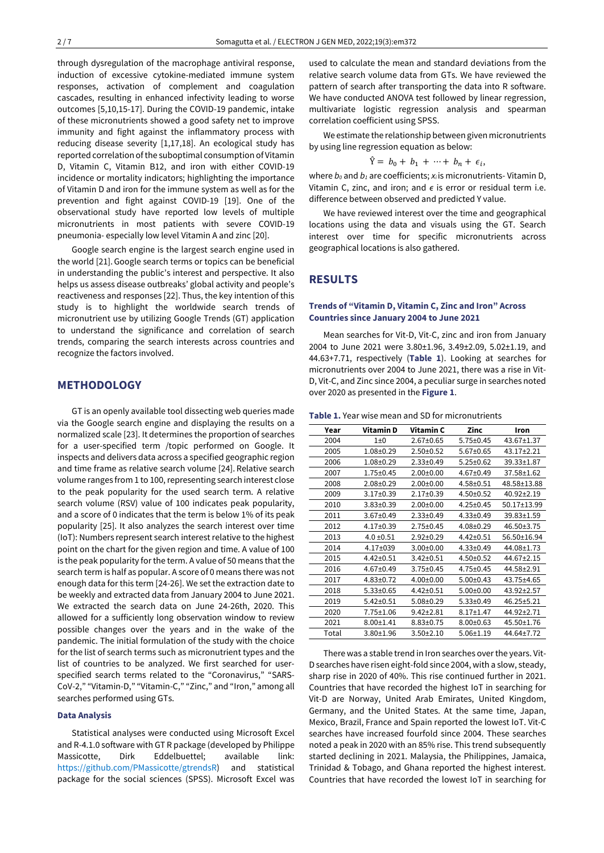through dysregulation of the macrophage antiviral response, induction of excessive cytokine-mediated immune system responses, activation of complement and coagulation cascades, resulting in enhanced infectivity leading to worse outcomes [5,10,15-17]. During the COVID-19 pandemic, intake of these micronutrients showed a good safety net to improve immunity and fight against the inflammatory process with reducing disease severity [1,17,18]. An ecological study has reported correlation of the suboptimal consumption of Vitamin D, Vitamin C, Vitamin B12, and iron with either COVID-19 incidence or mortality indicators; highlighting the importance of Vitamin D and iron for the immune system as well as for the prevention and fight against COVID-19 [19]. One of the observational study have reported low levels of multiple micronutrients in most patients with severe COVID-19 pneumonia- especially low level Vitamin A and zinc [20].

Google search engine is the largest search engine used in the world [21].Google search terms or topics can be beneficial in understanding the public's interest and perspective. It also helps us assess disease outbreaks' global activity and people's reactiveness and responses [22]. Thus, the key intention of this study is to highlight the worldwide search trends of micronutrient use by utilizing Google Trends (GT) application to understand the significance and correlation of search trends, comparing the search interests across countries and recognize the factors involved.

## **METHODOLOGY**

GT is an openly available tool dissecting web queries made via the Google search engine and displaying the results on a normalized scale [23]. It determines the proportion of searches for a user-specified term /topic performed on Google. It inspects and delivers data across a specified geographic region and time frame as relative search volume [24]. Relative search volume ranges from 1 to 100, representing search interest close to the peak popularity for the used search term. A relative search volume (RSV) value of 100 indicates peak popularity, and a score of 0 indicates that the term is below 1% of its peak popularity [25]. It also analyzes the search interest over time (IoT): Numbers represent search interestrelative to the highest point on the chart for the given region and time. A value of 100 is the peak popularity forthe term. A value of 50 means that the search term is half as popular. A score of 0 means there was not enough data for this term [24-26]. We set the extraction date to be weekly and extracted data from January 2004 to June 2021. We extracted the search data on June 24-26th, 2020. This allowed for a sufficiently long observation window to review possible changes over the years and in the wake of the pandemic. The initial formulation of the study with the choice for the list of search terms such as micronutrient types and the list of countries to be analyzed. We first searched for userspecified search terms related to the "Coronavirus," "SARS-CoV-2," "Vitamin-D," "Vitamin-C," "Zinc," and "Iron," among all searches performed using GTs.

#### **Data Analysis**

Statistical analyses were conducted using Microsoft Excel and R-4.1.0 software with GT R package (developed by Philippe Massicotte, Dirk Eddelbuettel; available link: [https://github.com/PMassicotte/gtrendsR\)](https://github.com/PMassicotte/gtrendsR) and statistical package for the social sciences (SPSS). Microsoft Excel was

used to calculate the mean and standard deviations from the relative search volume data from GTs. We have reviewed the pattern of search after transporting the data into R software. We have conducted ANOVA test followed by linear regression, multivariate logistic regression analysis and spearman correlation coefficient using SPSS.

We estimate the relationship between given micronutrients by using line regression equation as below:

$$
\hat{Y} = b_0 + b_1 + \cdots + b_n + \epsilon_i,
$$

where *b<sup>0</sup>* and *b<sup>1</sup>* are coefficients; *xi*is micronutrients- Vitamin D, Vitamin C, zinc, and iron; and *ϵ* is error or residual term i.e. difference between observed and predicted Y value.

We have reviewed interest over the time and geographical locations using the data and visuals using the GT. Search interest over time for specific micronutrients across geographical locations is also gathered.

## **RESULTS**

#### **Trends of "Vitamin D, Vitamin C, Zinc and Iron" Across Countries since January 2004 to June 2021**

Mean searches for Vit-D, Vit-C, zinc and iron from January 2004 to June 2021 were 3.80±1.96, 3.49±2.09, 5.02±1.19, and 44.63+7.71, respectively (**Table 1**). Looking at searches for micronutrients over 2004 to June 2021, there was a rise in Vit-D, Vit-C, and Zinc since 2004, a peculiar surge in searches noted over 2020 as presented in the **Figure 1**.

**Table 1.** Year wise mean and SD for micronutrients

| Year  | Vitamin D       | Vitamin C       | Zinc            | Iron        |
|-------|-----------------|-----------------|-----------------|-------------|
| 2004  | $1\pm0$         | $2.67 \pm 0.65$ | $5.75 \pm 0.45$ | 43.67±1.37  |
| 2005  | $1.08 \pm 0.29$ | $2.50 \pm 0.52$ | $5.67 \pm 0.65$ | 43.17±2.21  |
| 2006  | $1.08 \pm 0.29$ | $2.33 \pm 0.49$ | $5.25 \pm 0.62$ | 39.33±1.87  |
| 2007  | $1.75 \pm 0.45$ | $2.00 \pm 0.00$ | $4.67 \pm 0.49$ | 37.58±1.62  |
| 2008  | $2.08 \pm 0.29$ | $2.00 \pm 0.00$ | $4.58 \pm 0.51$ | 48.58±13.88 |
| 2009  | $3.17 \pm 0.39$ | $2.17 \pm 0.39$ | $4.50 \pm 0.52$ | 40.92±2.19  |
| 2010  | $3.83 \pm 0.39$ | $2.00 \pm 0.00$ | $4.25 \pm 0.45$ | 50.17±13.99 |
| 2011  | $3.67 \pm 0.49$ | $2.33 \pm 0.49$ | $4.33 \pm 0.49$ | 39.83±1.59  |
| 2012  | $4.17 \pm 0.39$ | $2.75 \pm 0.45$ | $4.08 \pm 0.29$ | 46.50±3.75  |
| 2013  | $4.0 \pm 0.51$  | $2.92 \pm 0.29$ | $4.42 \pm 0.51$ | 56.50±16.94 |
| 2014  | 4.17±039        | $3.00 \pm 0.00$ | $4.33 \pm 0.49$ | 44.08±1.73  |
| 2015  | $4.42 \pm 0.51$ | $3.42 \pm 0.51$ | $4.50 \pm 0.52$ | 44.67±2.15  |
| 2016  | $4.67 \pm 0.49$ | $3.75 \pm 0.45$ | $4.75 \pm 0.45$ | 44.58±2.91  |
| 2017  | $4.83 \pm 0.72$ | $4.00 \pm 0.00$ | $5.00 \pm 0.43$ | 43.75±4.65  |
| 2018  | $5.33 \pm 0.65$ | $4.42 \pm 0.51$ | $5.00 \pm 0.00$ | 43.92±2.57  |
| 2019  | 5.42±0.51       | $5.08 \pm 0.29$ | $5.33 \pm 0.49$ | 46.25±5.21  |
| 2020  | 7.75±1.06       | $9.42 \pm 2.81$ | $8.17 \pm 1.47$ | 44.92±2.71  |
| 2021  | $8.00 \pm 1.41$ | $8.83 \pm 0.75$ | $8.00 \pm 0.63$ | 45.50±1.76  |
| Total | 3.80±1.96       | $3.50 \pm 2.10$ | $5.06 \pm 1.19$ | 44.64±7.72  |

There was a stable trend in Iron searches over the years. Vit-D searches have risen eight-fold since 2004, with a slow, steady, sharp rise in 2020 of 40%. This rise continued further in 2021. Countries that have recorded the highest IoT in searching for Vit-D are Norway, United Arab Emirates, United Kingdom, Germany, and the United States. At the same time, Japan, Mexico, Brazil, France and Spain reported the lowest IoT. Vit-C searches have increased fourfold since 2004. These searches noted a peak in 2020 with an 85% rise. This trend subsequently started declining in 2021. Malaysia, the Philippines, Jamaica, Trinidad & Tobago, and Ghana reported the highest interest. Countries that have recorded the lowest IoT in searching for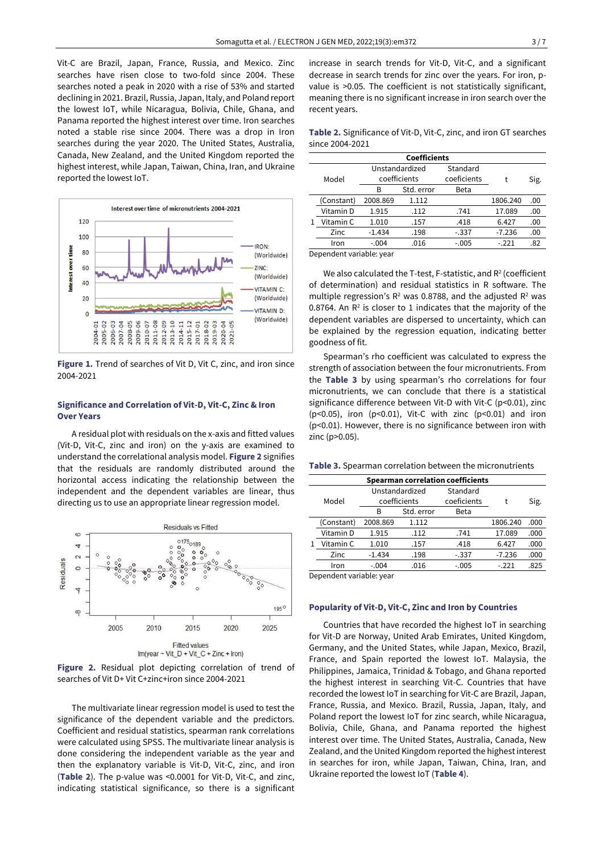Vit-C are Brazil, Japan, France, Russia, and Mexico. Zinc searches have risen close to two-fold since 2004. These searches noted a peak in 2020 with a rise of 53% and started declining in 2021. Brazil, Russia, Japan, Italy, and Poland report the lowest IoT, while Nicaragua, Bolivia, Chile, Ghana, and Panama reported the highest interest over time. Iron searches noted a stable rise since 2004. There was a drop in Iron searches during the year 2020. The United States, Australia, Canada, New Zealand, and the United Kingdom reported the highest interest, while Japan, Taiwan, China, Iran, and Ukraine reported the lowest IoT.



**Figure 1.** Trend of searches of Vit D, Vit C, zinc, and iron since 2004-2021

#### **Significance and Correlation of Vit-D, Vit-C, Zinc & Iron Over Years**

A residual plot with residuals on the x-axis and fitted values (Vit-D, Vit-C, zinc and iron) on the y-axis are examined to understand the correlational analysis model. **Figure 2** signifies that the residuals are randomly distributed around the horizontal access indicating the relationship between the independent and the dependent variables are linear, thus directing us to use an appropriate linear regression model.



**Figure 2.** Residual plot depicting correlation of trend of searches of Vit D+ Vit C+zinc+iron since 2004-2021

The multivariate linear regression model is used to test the significance of the dependent variable and the predictors. Coefficient and residual statistics, spearman rank correlations were calculated using SPSS. The multivariate linear analysis is done considering the independent variable as the year and then the explanatory variable is Vit-D, Vit-C, zinc, and iron (**Table 2**). The p-value was <0.0001 for Vit-D, Vit-C, and zinc, indicating statistical significance, so there is a significant increase in search trends for Vit-D, Vit-C, and a significant decrease in search trends for zinc over the years. For iron, pvalue is >0.05. The coefficient is not statistically significant, meaning there is no significant increase in iron search over the recent years.

**Table 2.** Significance of Vit-D, Vit-C, zinc, and iron GT searches since 2004-2021

| <b>Coefficients</b> |            |                |            |             |          |      |
|---------------------|------------|----------------|------------|-------------|----------|------|
|                     | Model      | Unstandardized |            | Standard    |          |      |
|                     |            | coefficients   |            | coeficients |          | Sig. |
|                     |            | в              | Std. error | Beta        |          |      |
|                     | (Constant) | 2008.869       | 1.112      |             | 1806.240 | .00  |
|                     | Vitamin D  | 1.915          | .112       | .741        | 17.089   | .00  |
|                     | Vitamin C  | 1.010          | .157       | .418        | 6.427    | .00  |
|                     | Zinc       | $-1.434$       | .198       | $-.337$     | $-7.236$ | .00  |
|                     | Iron       | $-.004$        | .016       | $-.005$     | $-221$   | .82  |
|                     |            |                |            |             |          |      |

Dependent variable: year

We also calculated the T-test, F-statistic, and R<sup>2</sup> (coefficient of determination) and residual statistics in R software. The multiple regression's  $R^2$  was 0.8788, and the adjusted  $R^2$  was 0.8764. An  $R<sup>2</sup>$  is closer to 1 indicates that the majority of the dependent variables are dispersed to uncertainty, which can be explained by the regression equation, indicating better goodness of fit.

Spearman's rho coefficient was calculated to express the strength of association between the four micronutrients. From the **Table 3** by using spearman's rho correlations for four micronutrients, we can conclude that there is a statistical significance difference between Vit-D with Vit-C (p<0.01), zinc ( $p$ <0.05), iron ( $p$ <0.01), Vit-C with zinc ( $p$ <0.01) and iron (p<0.01). However, there is no significance between iron with zinc (p>0.05).

**Table 3.** Spearman correlation between the micronutrients

| Spearman correlation coefficients |            |                |            |             |           |      |  |
|-----------------------------------|------------|----------------|------------|-------------|-----------|------|--|
|                                   |            | Unstandardized |            | Standard    |           |      |  |
|                                   | Model      | coefficients   |            | coeficients | Sig.<br>t |      |  |
|                                   |            | в              | Std. error | Beta        |           |      |  |
|                                   | (Constant) | 2008.869       | 1.112      |             | 1806.240  | .000 |  |
|                                   | Vitamin D  | 1.915          | .112       | .741        | 17.089    | .000 |  |
|                                   | Vitamin C  | 1.010          | .157       | .418        | 6.427     | .000 |  |
|                                   | Zinc       | $-1.434$       | .198       | $-.337$     | $-7.236$  | .000 |  |
|                                   | Iron       | $-.004$        | .016       | $-.005$     | $-221$    | .825 |  |

Dependent variable: year

#### **Popularity of Vit-D, Vit-C, Zinc and Iron by Countries**

Countries that have recorded the highest IoT in searching for Vit-D are Norway, United Arab Emirates, United Kingdom, Germany, and the United States, while Japan, Mexico, Brazil, France, and Spain reported the lowest IoT. Malaysia, the Philippines, Jamaica, Trinidad & Tobago, and Ghana reported the highest interest in searching Vit-C. Countries that have recorded the lowest IoT in searching for Vit-C are Brazil, Japan, France, Russia, and Mexico. Brazil, Russia, Japan, Italy, and Poland report the lowest IoT for zinc search, while Nicaragua, Bolivia, Chile, Ghana, and Panama reported the highest interest over time. The United States, Australia, Canada, New Zealand, and the United Kingdom reported the highest interest in searches for iron, while Japan, Taiwan, China, Iran, and Ukraine reported the lowest IoT (**Table 4**).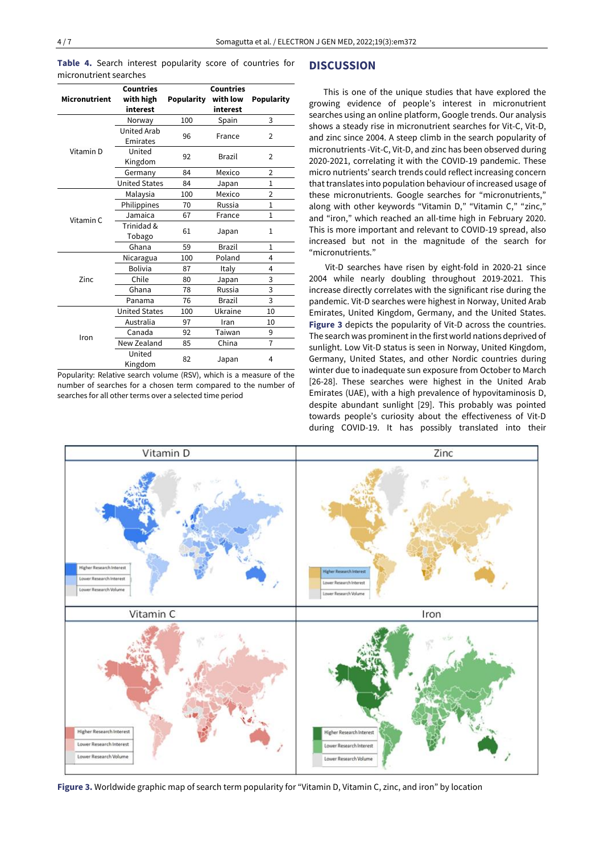**Table 4.** Search interest popularity score of countries for micronutrient searches

|                      | <b>Countries</b>     |                   | <b>Countries</b> |                   |  |
|----------------------|----------------------|-------------------|------------------|-------------------|--|
| <b>Micronutrient</b> | with high            | <b>Popularity</b> | with low         | <b>Popularity</b> |  |
|                      | interest             |                   | interest         |                   |  |
|                      | Norway               | 100               | Spain            | 3                 |  |
|                      | <b>United Arab</b>   | 96                | France           | 2                 |  |
|                      | Emirates             |                   |                  |                   |  |
| Vitamin D            | United<br>92         |                   | Brazil           | $\overline{2}$    |  |
|                      | Kingdom              |                   |                  |                   |  |
|                      | Germany              | 84                | Mexico           | 2                 |  |
|                      | <b>United States</b> | 84                | Japan            | $\mathbf{1}$      |  |
|                      | Malaysia             | 100               | Mexico           | $\overline{2}$    |  |
|                      | Philippines          | 70                | Russia           | 1                 |  |
| Vitamin C            | Jamaica              | 67                | France           | $\mathbf{1}$      |  |
|                      | Trinidad &           | 61                | Japan            | 1                 |  |
|                      | Tobago               |                   |                  |                   |  |
|                      | Ghana                | 59                | <b>Brazil</b>    | $\mathbf{1}$      |  |
|                      | Nicaragua            | 100               | Poland           | 4                 |  |
|                      | <b>Bolivia</b>       | 87                | Italy            | 4                 |  |
| Zinc.                | Chile                | 80                | Japan            | 3                 |  |
|                      | Ghana                | 78                | Russia           | 3                 |  |
|                      | Panama               | 76                | <b>Brazil</b>    | 3                 |  |
|                      | <b>United States</b> | 100               | Ukraine          | 10                |  |
|                      | Australia            | 97                | Iran             | 10                |  |
| Iron                 | Canada               | 92                | Taiwan           | 9                 |  |
|                      | New Zealand          | 85                | China            | $\overline{7}$    |  |
|                      | United               |                   |                  | 4                 |  |
|                      | Kingdom              | 82                | Japan            |                   |  |

Popularity: Relative search volume (RSV), which is a measure of the number of searches for a chosen term compared to the number of searches for all other terms over a selected time period

## **DISCUSSION**

This is one of the unique studies that have explored the growing evidence of people's interest in micronutrient searches using an online platform, Google trends. Our analysis shows a steady rise in micronutrient searches for Vit-C, Vit-D, and zinc since 2004. A steep climb in the search popularity of micronutrients -Vit-C, Vit-D, and zinc has been observed during 2020-2021, correlating it with the COVID-19 pandemic. These micro nutrients' search trends could reflect increasing concern that translates into population behaviour of increased usage of these micronutrients. Google searches for "micronutrients," along with other keywords "Vitamin D," "Vitamin C," "zinc," and "iron," which reached an all-time high in February 2020. This is more important and relevant to COVID-19 spread, also increased but not in the magnitude of the search for "micronutrients."

Vit-D searches have risen by eight-fold in 2020-21 since 2004 while nearly doubling throughout 2019-2021. This increase directly correlates with the significant rise during the pandemic. Vit-D searches were highest in Norway, United Arab Emirates, United Kingdom, Germany, and the United States. **Figure 3** depicts the popularity of Vit-D across the countries. The search was prominent in the first world nations deprived of sunlight. Low Vit-D status is seen in Norway, United Kingdom, Germany, United States, and other Nordic countries during winter due to inadequate sun exposure from October to March [26-28]. These searches were highest in the United Arab Emirates (UAE), with a high prevalence of hypovitaminosis D, despite abundant sunlight [29]. This probably was pointed towards people's curiosity about the effectiveness of Vit-D during COVID-19. It has possibly translated into their



**Figure 3.** Worldwide graphic map of search term popularity for "Vitamin D, Vitamin C, zinc, and iron" by location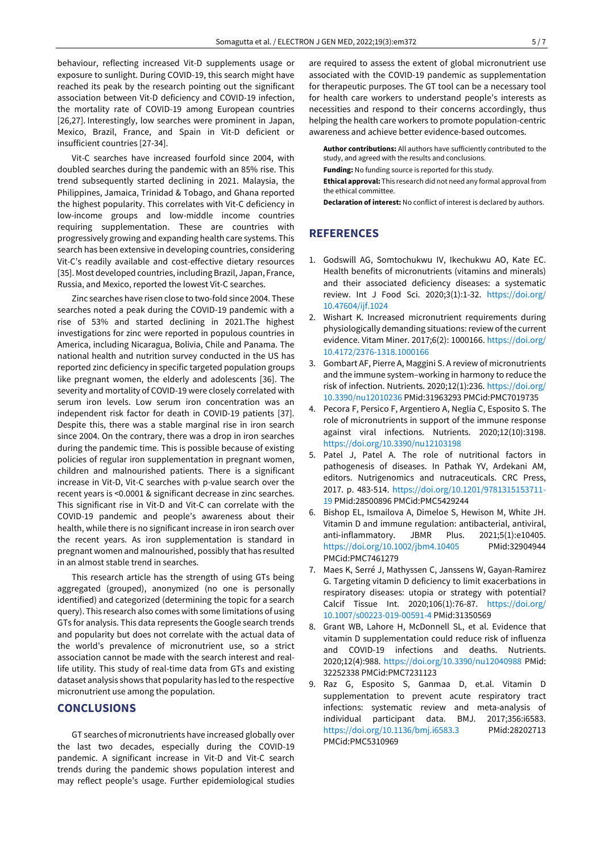behaviour, reflecting increased Vit-D supplements usage or exposure to sunlight. During COVID-19, this search might have reached its peak by the research pointing out the significant association between Vit-D deficiency and COVID-19 infection, the mortality rate of COVID-19 among European countries [26,27]. Interestingly, low searches were prominent in Japan, Mexico, Brazil, France, and Spain in Vit-D deficient or insufficient countries [27-34].

Vit-C searches have increased fourfold since 2004, with doubled searches during the pandemic with an 85% rise. This trend subsequently started declining in 2021. Malaysia, the Philippines, Jamaica, Trinidad & Tobago, and Ghana reported the highest popularity. This correlates with Vit-C deficiency in low-income groups and low-middle income countries requiring supplementation. These are countries with progressively growing and expanding health care systems. This search has been extensive in developing countries, considering Vit-C's readily available and cost-effective dietary resources [35]. Most developed countries, including Brazil, Japan, France, Russia, and Mexico, reported the lowest Vit-C searches.

Zinc searches have risen close to two-fold since 2004. These searches noted a peak during the COVID-19 pandemic with a rise of 53% and started declining in 2021.The highest investigations for zinc were reported in populous countries in America, including Nicaragua, Bolivia, Chile and Panama. The national health and nutrition survey conducted in the US has reported zinc deficiency in specific targeted population groups like pregnant women, the elderly and adolescents [36]. The severity and mortality of COVID-19 were closely correlated with serum iron levels. Low serum iron concentration was an independent risk factor for death in COVID-19 patients [37]. Despite this, there was a stable marginal rise in iron search since 2004. On the contrary, there was a drop in iron searches during the pandemic time. This is possible because of existing policies of regular iron supplementation in pregnant women, children and malnourished patients. There is a significant increase in Vit-D, Vit-C searches with p-value search over the recent years is <0.0001 & significant decrease in zinc searches. This significant rise in Vit-D and Vit-C can correlate with the COVID-19 pandemic and people's awareness about their health, while there is no significant increase in iron search over the recent years. As iron supplementation is standard in pregnant women and malnourished, possibly that has resulted in an almost stable trend in searches.

This research article has the strength of using GTs being aggregated (grouped), anonymized (no one is personally identified) and categorized (determining the topic for a search query). This research also comes with some limitations of using GTs for analysis. This data represents the Google search trends and popularity but does not correlate with the actual data of the world's prevalence of micronutrient use, so a strict association cannot be made with the search interest and reallife utility. This study of real-time data from GTs and existing dataset analysis shows that popularity has led to the respective micronutrient use among the population.

## **CONCLUSIONS**

GT searches of micronutrients have increased globally over the last two decades, especially during the COVID-19 pandemic. A significant increase in Vit-D and Vit-C search trends during the pandemic shows population interest and may reflect people's usage. Further epidemiological studies are required to assess the extent of global micronutrient use associated with the COVID-19 pandemic as supplementation for therapeutic purposes. The GT tool can be a necessary tool for health care workers to understand people's interests as necessities and respond to their concerns accordingly, thus helping the health care workers to promote population-centric awareness and achieve better evidence-based outcomes.

**Author contributions:** All authors have sufficiently contributed to the study, and agreed with the results and conclusions.

**Funding:** No funding source is reported for this study.

**Ethical approval:** This research did not need any formal approval from the ethical committee.

**Declaration of interest:** No conflict of interest is declared by authors.

# **REFERENCES**

- 1. Godswill AG, Somtochukwu IV, Ikechukwu AO, Kate EC. Health benefits of micronutrients (vitamins and minerals) and their associated deficiency diseases: a systematic review. Int J Food Sci. 2020;3(1):1-32. [https://doi.org/](https://doi.org/10.47604/ijf.1024) [10.47604/ijf.1024](https://doi.org/10.47604/ijf.1024)
- 2. Wishart K. Increased micronutrient requirements during physiologically demanding situations: review of the current evidence. Vitam Miner. 2017;6(2): 1000166. [https://doi.org/](https://doi.org/10.4172/2376-1318.1000166) [10.4172/2376-1318.1000166](https://doi.org/10.4172/2376-1318.1000166)
- 3. Gombart AF, Pierre A, Maggini S. A review of micronutrients and the immune system–working in harmony to reduce the risk of infection. Nutrients. 2020;12(1):236. [https://doi.org/](https://doi.org/10.3390/nu12010236) [10.3390/nu12010236](https://doi.org/10.3390/nu12010236) PMid:31963293 PMCid:PMC7019735
- 4. Pecora F, Persico F, Argentiero A, Neglia C, Esposito S. The role of micronutrients in support of the immune response against viral infections. Nutrients. 2020;12(10):3198. <https://doi.org/10.3390/nu12103198>
- 5. Patel J, Patel A. The role of nutritional factors in pathogenesis of diseases. In Pathak YV, Ardekani AM, editors. Nutrigenomics and nutraceuticals. CRC Press, 2017. p. 483-514. [https://doi.org/10.1201/9781315153711-](https://doi.org/10.1201/9781315153711-19) [19](https://doi.org/10.1201/9781315153711-19) PMid:28500896 PMCid:PMC5429244
- 6. Bishop EL, Ismailova A, Dimeloe S, Hewison M, White JH. Vitamin D and immune regulation: antibacterial, antiviral, anti-inflammatory. JBMR Plus. 2021;5(1):e10405. <https://doi.org/10.1002/jbm4.10405> PMid:32904944 PMCid:PMC7461279
- 7. Maes K, Serré J, Mathyssen C, Janssens W, Gayan-Ramirez G. Targeting vitamin D deficiency to limit exacerbations in respiratory diseases: utopia or strategy with potential? Calcif Tissue Int. 2020;106(1):76-87. [https://doi.org/](https://doi.org/10.1007/s00223-019-00591-4) [10.1007/s00223-019-00591-4](https://doi.org/10.1007/s00223-019-00591-4) PMid:31350569
- 8. Grant WB, Lahore H, McDonnell SL, et al. Evidence that vitamin D supplementation could reduce risk of influenza and COVID-19 infections and deaths. Nutrients. 2020;12(4):988. <https://doi.org/10.3390/nu12040988> PMid: 32252338 PMCid:PMC7231123
- 9. Raz G, Esposito S, Ganmaa D, et.al. Vitamin D supplementation to prevent acute respiratory tract infections: systematic review and meta-analysis of individual participant data. BMJ. 2017;356:i6583. <https://doi.org/10.1136/bmj.i6583.3> PMid:28202713 PMCid:PMC5310969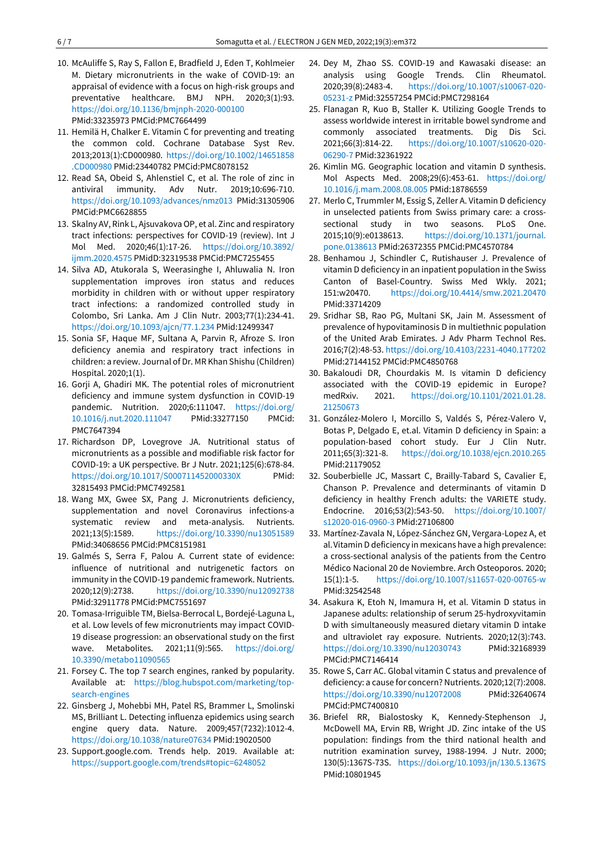- 10. McAuliffe S, Ray S, Fallon E, Bradfield J, Eden T, Kohlmeier M. Dietary micronutrients in the wake of COVID-19: an appraisal of evidence with a focus on high-risk groups and preventative healthcare. BMJ NPH. 2020;3(1):93. <https://doi.org/10.1136/bmjnph-2020-000100> PMid:33235973 PMCid:PMC7664499
- 11. Hemilä H, Chalker E. Vitamin C for preventing and treating the common cold. Cochrane Database Syst Rev. 2013;2013(1):CD000980. [https://doi.org/10.1002/14651858](https://doi.org/10.1002/14651858.CD000980) [.CD000980](https://doi.org/10.1002/14651858.CD000980) PMid:23440782 PMCid:PMC8078152
- 12. Read SA, Obeid S, Ahlenstiel C, et al. The role of zinc in antiviral immunity. Adv Nutr. 2019;10:696-710. <https://doi.org/10.1093/advances/nmz013> PMid:31305906 PMCid:PMC6628855
- 13. Skalny AV, Rink L, Ajsuvakova OP, et al. Zinc and respiratory tract infections: perspectives for COVID-19 (review). Int J Mol Med. 2020;46(1):17-26. [https://doi.org/10.3892/](https://doi.org/10.3892/ijmm.2020.4575) [ijmm.2020.4575](https://doi.org/10.3892/ijmm.2020.4575) PMidD:32319538 PMCid:PMC7255455
- 14. Silva AD, Atukorala S, Weerasinghe I, Ahluwalia N. Iron supplementation improves iron status and reduces morbidity in children with or without upper respiratory tract infections: a randomized controlled study in Colombo, Sri Lanka. Am J Clin Nutr. 2003;77(1):234-41. <https://doi.org/10.1093/ajcn/77.1.234> PMid:12499347
- 15. Sonia SF, Haque MF, Sultana A, Parvin R, Afroze S. Iron deficiency anemia and respiratory tract infections in children: a review. Journal of Dr. MR Khan Shishu (Children) Hospital. 2020;1(1).
- 16. Gorji A, Ghadiri MK. The potential roles of micronutrient deficiency and immune system dysfunction in COVID-19 pandemic. Nutrition. 2020;6:111047. [https://doi.org/](https://doi.org/10.1016/j.nut.2020.111047) [10.1016/j.nut.2020.111047](https://doi.org/10.1016/j.nut.2020.111047) PMid:33277150 PMCid: PMC7647394
- 17. Richardson DP, Lovegrove JA. Nutritional status of micronutrients as a possible and modifiable risk factor for COVID-19: a UK perspective. Br J Nutr. 2021;125(6):678-84. <https://doi.org/10.1017/S000711452000330X> PMid: 32815493 PMCid:PMC7492581
- 18. Wang MX, Gwee SX, Pang J. Micronutrients deficiency, supplementation and novel Coronavirus infections-a systematic review and meta-analysis. Nutrients. 2021;13(5):1589. <https://doi.org/10.3390/nu13051589> PMid:34068656 PMCid:PMC8151981
- 19. Galmés S, Serra F, Palou A. Current state of evidence: influence of nutritional and nutrigenetic factors on immunity in the COVID-19 pandemic framework. Nutrients. 2020;12(9):2738. <https://doi.org/10.3390/nu12092738> PMid:32911778 PMCid:PMC7551697
- 20. Tomasa-Irriguible TM, Bielsa-Berrocal L, Bordejé-Laguna L, et al. Low levels of few micronutrients may impact COVID-19 disease progression: an observational study on the first wave. Metabolites. 2021;11(9):565. [https://doi.org/](https://doi.org/10.3390/metabo11090565) [10.3390/metabo11090565](https://doi.org/10.3390/metabo11090565)
- 21. Forsey C. The top 7 search engines, ranked by popularity. Available at: [https://blog.hubspot.com/marketing/top](https://blog.hubspot.com/marketing/top-search-engines)[search-engines](https://blog.hubspot.com/marketing/top-search-engines)
- 22. Ginsberg J, Mohebbi MH, Patel RS, Brammer L, Smolinski MS, Brilliant L. Detecting influenza epidemics using search engine query data. Nature. 2009;457(7232):1012-4. <https://doi.org/10.1038/nature07634> PMid:19020500
- 23. Support.google.com. Trends help. 2019. Available at: <https://support.google.com/trends#topic=6248052>
- 24. Dey M, Zhao SS. COVID-19 and Kawasaki disease: an analysis using Google Trends. Clin Rheumatol. 2020;39(8):2483-4. [https://doi.org/10.1007/s10067-020-](https://doi.org/10.1007/s10067-020-05231-z) [05231-z](https://doi.org/10.1007/s10067-020-05231-z) PMid:32557254 PMCid:PMC7298164
- 25. Flanagan R, Kuo B, Staller K. Utilizing Google Trends to assess worldwide interest in irritable bowel syndrome and commonly associated treatments. Dig Dis Sci. 2021;66(3):814-22. [https://doi.org/10.1007/s10620-020-](https://doi.org/10.1007/s10620-020-06290-7) [06290-7](https://doi.org/10.1007/s10620-020-06290-7) PMid:32361922
- 26. Kimlin MG. Geographic location and vitamin D synthesis. Mol Aspects Med. 2008;29(6):453-61. [https://doi.org/](https://doi.org/10.1016/j.mam.2008.08.005) [10.1016/j.mam.2008.08.005](https://doi.org/10.1016/j.mam.2008.08.005) PMid:18786559
- 27. Merlo C, Trummler M, Essig S, Zeller A. Vitamin D deficiency in unselected patients from Swiss primary care: a crosssectional study in two seasons. PLoS One. 2015;10(9):e0138613. [https://doi.org/10.1371/journal.](https://doi.org/10.1371/journal.pone.0138613) [pone.0138613](https://doi.org/10.1371/journal.pone.0138613) PMid:26372355 PMCid:PMC4570784
- 28. Benhamou J, Schindler C, Rutishauser J. Prevalence of vitamin D deficiency in an inpatient population in the Swiss Canton of Basel-Country. Swiss Med Wkly. 2021; 151:w20470. <https://doi.org/10.4414/smw.2021.20470> PMid:33714209
- 29. Sridhar SB, Rao PG, Multani SK, Jain M. Assessment of prevalence of hypovitaminosis D in multiethnic population of the United Arab Emirates. J Adv Pharm Technol Res. 2016;7(2):48-53. <https://doi.org/10.4103/2231-4040.177202> PMid:27144152 PMCid:PMC4850768
- 30. Bakaloudi DR, Chourdakis M. Is vitamin D deficiency associated with the COVID-19 epidemic in Europe? medRxiv. 2021. [https://doi.org/10.1101/2021.01.28.](https://doi.org/10.1101/2021.01.28.21250673) [21250673](https://doi.org/10.1101/2021.01.28.21250673)
- 31. González-Molero I, Morcillo S, Valdés S, Pérez-Valero V, Botas P, Delgado E, et.al. Vitamin D deficiency in Spain: a population-based cohort study. Eur J Clin Nutr. 2011;65(3):321-8. <https://doi.org/10.1038/ejcn.2010.265> PMid:21179052
- 32. Souberbielle JC, Massart C, Brailly-Tabard S, Cavalier E, Chanson P. Prevalence and determinants of vitamin D deficiency in healthy French adults: the VARIETE study. Endocrine. 2016;53(2):543-50. [https://doi.org/10.1007/](https://doi.org/10.1007/s12020-016-0960-3) [s12020-016-0960-3](https://doi.org/10.1007/s12020-016-0960-3) PMid:27106800
- 33. Martínez-Zavala N, López-Sánchez GN, Vergara-Lopez A, et al.Vitamin D deficiency in mexicans have a high prevalence: a cross-sectional analysis of the patients from the Centro Médico Nacional 20 de Noviembre. Arch Osteoporos. 2020; 15(1):1-5. <https://doi.org/10.1007/s11657-020-00765-w> PMid:32542548
- 34. Asakura K, Etoh N, Imamura H, et al. Vitamin D status in Japanese adults: relationship of serum 25-hydroxyvitamin D with simultaneously measured dietary vitamin D intake and ultraviolet ray exposure. Nutrients. 2020;12(3):743. <https://doi.org/10.3390/nu12030743> PMid:32168939 PMCid:PMC7146414
- 35. Rowe S, Carr AC. Global vitamin C status and prevalence of deficiency: a cause for concern? Nutrients. 2020;12(7):2008. <https://doi.org/10.3390/nu12072008> PMid:32640674 PMCid:PMC7400810
- 36. Briefel RR, Bialostosky K, Kennedy-Stephenson J, McDowell MA, Ervin RB, Wright JD. Zinc intake of the US population: findings from the third national health and nutrition examination survey, 1988-1994. J Nutr. 2000; 130(5):1367S-73S. <https://doi.org/10.1093/jn/130.5.1367S> PMid:10801945